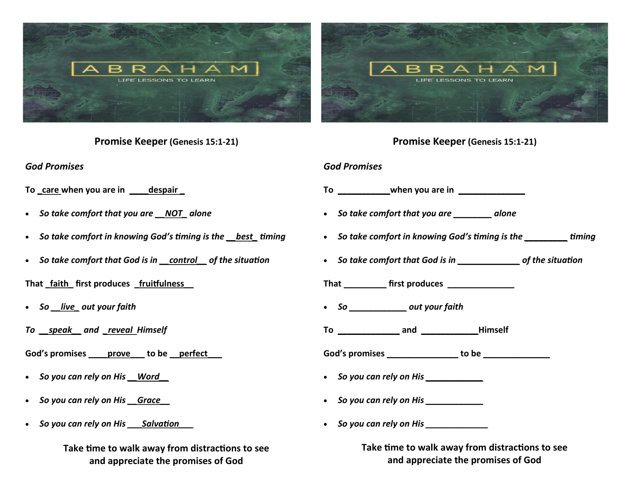

**Promise Keeper (Genesis 15:1-21)**

*God Promises*

- To care when you are in **despair**
- *So take comfort that you are \_\_NOT\_ alone*
- *So take comfort in knowing God's timing is the \_\_best\_ timing*
- *So take comfort that God is in \_\_control\_\_ of the situation*

**That \_faith\_ first produces \_fruitfulness\_\_**

- *So \_\_live\_ out your faith*
- *To \_\_speak\_\_ and \_reveal Himself*

**God's promises \_\_\_\_prove\_\_\_ to be \_\_perfect\_\_\_**

- *So you can rely on His \_\_Word\_\_*
- *So you can rely on His \_\_Grace\_\_*
- *So you can rely on His \_\_\_Salvation\_\_\_*

**Take time to walk away from distractions to see and appreciate the promises of God**

# **Promise Keeper (Genesis 15:1-21)**

## *God Promises*

- **To \_\_\_\_\_\_\_\_\_\_\_when you are in \_\_\_\_\_\_\_\_\_\_\_\_\_\_**
- *So take comfort that you are \_\_\_\_\_\_\_\_ alone*
- *So take comfort in knowing God's timing is the \_\_\_\_\_\_\_\_\_ timing*
- *So take comfort that God is in \_\_\_\_\_\_\_\_\_\_\_\_\_ of the situation*
- **That \_\_\_\_\_\_\_\_\_ first produces \_\_\_\_\_\_\_\_\_\_\_\_\_\_**
- *So \_\_\_\_\_\_\_\_\_\_\_\_ out your faith*
- **To \_\_\_\_\_\_\_\_\_\_\_\_\_ and \_\_\_\_\_\_\_\_\_\_\_\_Himself**

**God's promises \_\_\_\_\_\_\_\_\_\_\_\_\_\_\_ to be \_\_\_\_\_\_\_\_\_\_\_\_\_\_**

- *So you can rely on His \_\_\_\_\_\_\_\_\_\_\_\_*
- *So you can rely on His \_\_\_\_\_\_\_\_\_\_\_\_*
- *So you can rely on His \_\_\_\_\_\_\_\_\_\_\_\_\_*

**Take time to walk away from distractions to see and appreciate the promises of God**